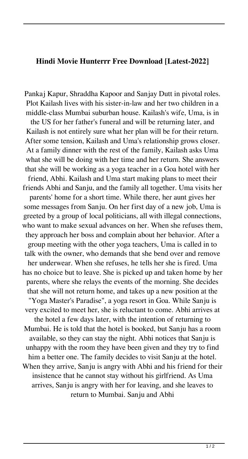## **Hindi Movie Hunterrr Free Download [Latest-2022]**

Pankaj Kapur, Shraddha Kapoor and Sanjay Dutt in pivotal roles. Plot Kailash lives with his sister-in-law and her two children in a middle-class Mumbai suburban house. Kailash's wife, Uma, is in the US for her father's funeral and will be returning later, and Kailash is not entirely sure what her plan will be for their return. After some tension, Kailash and Uma's relationship grows closer. At a family dinner with the rest of the family, Kailash asks Uma what she will be doing with her time and her return. She answers that she will be working as a yoga teacher in a Goa hotel with her friend, Abhi. Kailash and Uma start making plans to meet their friends Abhi and Sanju, and the family all together. Uma visits her parents' home for a short time. While there, her aunt gives her some messages from Sanju. On her first day of a new job, Uma is greeted by a group of local politicians, all with illegal connections, who want to make sexual advances on her. When she refuses them, they approach her boss and complain about her behavior. After a group meeting with the other yoga teachers, Uma is called in to talk with the owner, who demands that she bend over and remove her underwear. When she refuses, he tells her she is fired. Uma has no choice but to leave. She is picked up and taken home by her parents, where she relays the events of the morning. She decides that she will not return home, and takes up a new position at the "Yoga Master's Paradise", a yoga resort in Goa. While Sanju is very excited to meet her, she is reluctant to come. Abhi arrives at the hotel a few days later, with the intention of returning to Mumbai. He is told that the hotel is booked, but Sanju has a room available, so they can stay the night. Abhi notices that Sanju is unhappy with the room they have been given and they try to find him a better one. The family decides to visit Sanju at the hotel. When they arrive, Sanju is angry with Abhi and his friend for their insistence that he cannot stay without his girlfriend. As Uma arrives, Sanju is angry with her for leaving, and she leaves to return to Mumbai. Sanju and Abhi